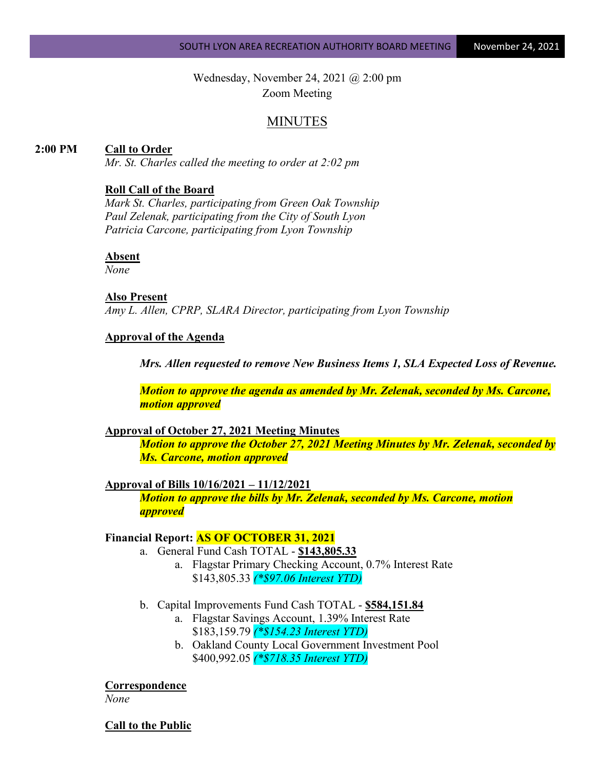Wednesday, November 24, 2021 @ 2:00 pm Zoom Meeting

# MINUTES

# **2:00 PM Call to Order**

*Mr. St. Charles called the meeting to order at 2:02 pm*

# **Roll Call of the Board**

*Mark St. Charles, participating from Green Oak Township Paul Zelenak, participating from the City of South Lyon Patricia Carcone, participating from Lyon Township*

# **Absent**

*None*

### **Also Present**

*Amy L. Allen, CPRP, SLARA Director, participating from Lyon Township*

### **Approval of the Agenda**

*Mrs. Allen requested to remove New Business Items 1, SLA Expected Loss of Revenue.*

*Motion to approve the agenda as amended by Mr. Zelenak, seconded by Ms. Carcone, motion approved*

### **Approval of October 27, 2021 Meeting Minutes**

*Motion to approve the October 27, 2021 Meeting Minutes by Mr. Zelenak, seconded by Ms. Carcone, motion approved*

#### **Approval of Bills 10/16/2021 – 11/12/2021**

*Motion to approve the bills by Mr. Zelenak, seconded by Ms. Carcone, motion approved*

### **Financial Report: AS OF OCTOBER 31, 2021**

- a. General Fund Cash TOTAL **\$143,805.33**
	- a. Flagstar Primary Checking Account, 0.7% Interest Rate \$143,805.33 *(\*\$97.06 Interest YTD)*
- b. Capital Improvements Fund Cash TOTAL **\$584,151.84**
	- a. Flagstar Savings Account, 1.39% Interest Rate \$183,159.79 *(\*\$154.23 Interest YTD)*
	- b. Oakland County Local Government Investment Pool \$400,992.05 *(\*\$718.35 Interest YTD)*

#### **Correspondence**

*None*

#### **Call to the Public**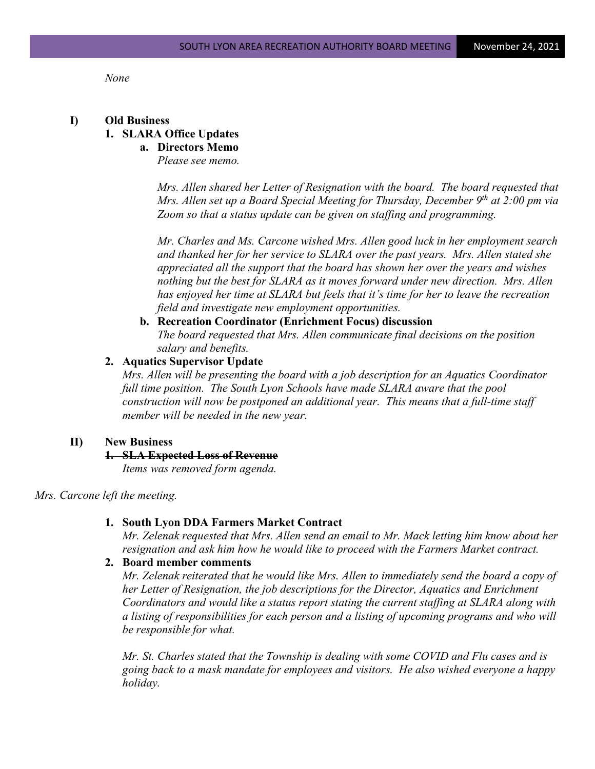*None*

### **I) Old Business**

# **1. SLARA Office Updates**

# **a. Directors Memo**

*Please see memo.*

*Mrs. Allen shared her Letter of Resignation with the board. The board requested that Mrs. Allen set up a Board Special Meeting for Thursday, December 9<sup>th</sup> at 2:00 pm via Zoom so that a status update can be given on staffing and programming.*

*Mr. Charles and Ms. Carcone wished Mrs. Allen good luck in her employment search and thanked her for her service to SLARA over the past years. Mrs. Allen stated she appreciated all the support that the board has shown her over the years and wishes nothing but the best for SLARA as it moves forward under new direction. Mrs. Allen has enjoyed her time at SLARA but feels that it's time for her to leave the recreation field and investigate new employment opportunities.* 

# **b. Recreation Coordinator (Enrichment Focus) discussion**

*The board requested that Mrs. Allen communicate final decisions on the position salary and benefits.*

#### **2. Aquatics Supervisor Update**

*Mrs. Allen will be presenting the board with a job description for an Aquatics Coordinator full time position. The South Lyon Schools have made SLARA aware that the pool construction will now be postponed an additional year. This means that a full-time staff member will be needed in the new year.*

### **II) New Business**

### **1. SLA Expected Loss of Revenue**

*Items was removed form agenda.*

# *Mrs. Carcone left the meeting.*

#### **1. South Lyon DDA Farmers Market Contract**

*Mr. Zelenak requested that Mrs. Allen send an email to Mr. Mack letting him know about her resignation and ask him how he would like to proceed with the Farmers Market contract.*

### **2. Board member comments**

*Mr. Zelenak reiterated that he would like Mrs. Allen to immediately send the board a copy of her Letter of Resignation, the job descriptions for the Director, Aquatics and Enrichment Coordinators and would like a status report stating the current staffing at SLARA along with a listing of responsibilities for each person and a listing of upcoming programs and who will be responsible for what.* 

*Mr. St. Charles stated that the Township is dealing with some COVID and Flu cases and is going back to a mask mandate for employees and visitors. He also wished everyone a happy holiday.*